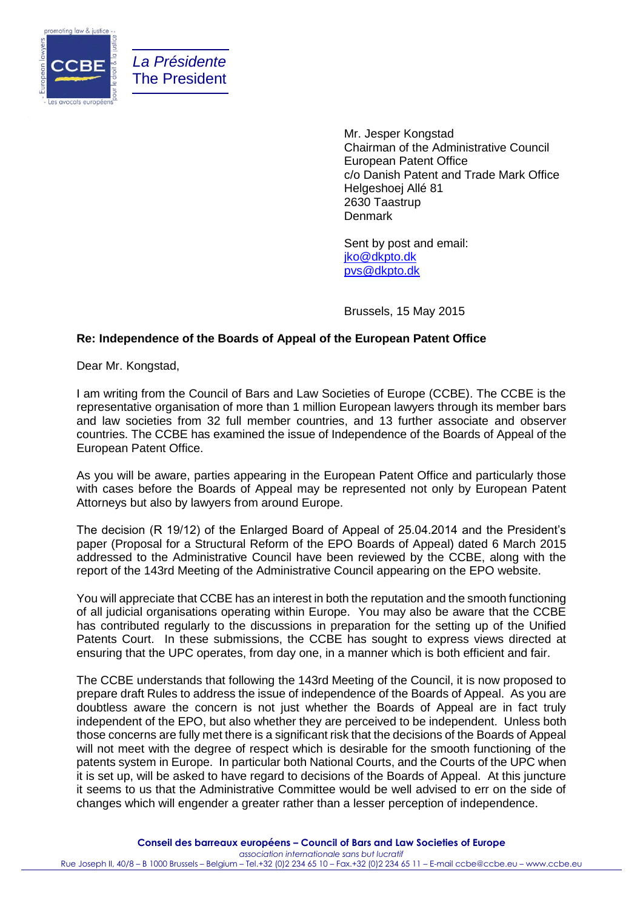

*La Présidente* The President

> Mr. Jesper Kongstad Chairman of the Administrative Council European Patent Office c/o Danish Patent and Trade Mark Office Helgeshoej Allé 81 2630 Taastrup Denmark

Sent by post and email: [jko@dkpto.dk](mailto:jko@dkpto.dk) [pvs@dkpto.dk](mailto:pvs@dkpto.dk)

Brussels, 15 May 2015

## **Re: Independence of the Boards of Appeal of the European Patent Office**

Dear Mr. Kongstad,

I am writing from the Council of Bars and Law Societies of Europe (CCBE). The CCBE is the representative organisation of more than 1 million European lawyers through its member bars and law societies from 32 full member countries, and 13 further associate and observer countries. The CCBE has examined the issue of Independence of the Boards of Appeal of the European Patent Office.

As you will be aware, parties appearing in the European Patent Office and particularly those with cases before the Boards of Appeal may be represented not only by European Patent Attorneys but also by lawyers from around Europe.

The decision (R 19/12) of the Enlarged Board of Appeal of 25.04.2014 and the President's paper (Proposal for a Structural Reform of the EPO Boards of Appeal) dated 6 March 2015 addressed to the Administrative Council have been reviewed by the CCBE, along with the report of the 143rd Meeting of the Administrative Council appearing on the EPO website.

You will appreciate that CCBE has an interest in both the reputation and the smooth functioning of all judicial organisations operating within Europe. You may also be aware that the CCBE has contributed regularly to the discussions in preparation for the setting up of the Unified Patents Court. In these submissions, the CCBE has sought to express views directed at ensuring that the UPC operates, from day one, in a manner which is both efficient and fair.

The CCBE understands that following the 143rd Meeting of the Council, it is now proposed to prepare draft Rules to address the issue of independence of the Boards of Appeal. As you are doubtless aware the concern is not just whether the Boards of Appeal are in fact truly independent of the EPO, but also whether they are perceived to be independent. Unless both those concerns are fully met there is a significant risk that the decisions of the Boards of Appeal will not meet with the degree of respect which is desirable for the smooth functioning of the patents system in Europe. In particular both National Courts, and the Courts of the UPC when it is set up, will be asked to have regard to decisions of the Boards of Appeal. At this juncture it seems to us that the Administrative Committee would be well advised to err on the side of changes which will engender a greater rather than a lesser perception of independence.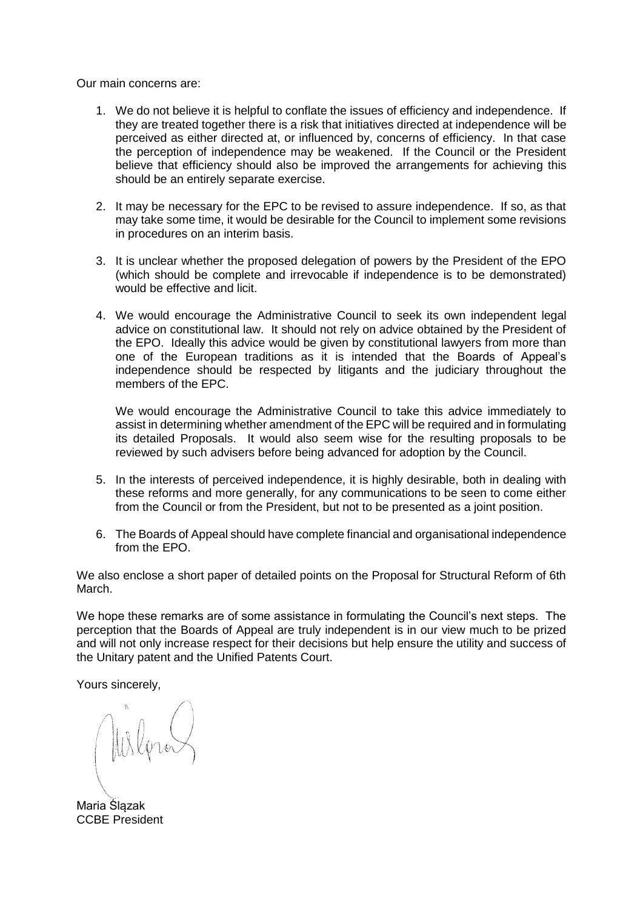Our main concerns are:

- 1. We do not believe it is helpful to conflate the issues of efficiency and independence. If they are treated together there is a risk that initiatives directed at independence will be perceived as either directed at, or influenced by, concerns of efficiency. In that case the perception of independence may be weakened. If the Council or the President believe that efficiency should also be improved the arrangements for achieving this should be an entirely separate exercise.
- 2. It may be necessary for the EPC to be revised to assure independence. If so, as that may take some time, it would be desirable for the Council to implement some revisions in procedures on an interim basis.
- 3. It is unclear whether the proposed delegation of powers by the President of the EPO (which should be complete and irrevocable if independence is to be demonstrated) would be effective and licit.
- 4. We would encourage the Administrative Council to seek its own independent legal advice on constitutional law. It should not rely on advice obtained by the President of the EPO. Ideally this advice would be given by constitutional lawyers from more than one of the European traditions as it is intended that the Boards of Appeal's independence should be respected by litigants and the judiciary throughout the members of the EPC.

We would encourage the Administrative Council to take this advice immediately to assist in determining whether amendment of the EPC will be required and in formulating its detailed Proposals. It would also seem wise for the resulting proposals to be reviewed by such advisers before being advanced for adoption by the Council.

- 5. In the interests of perceived independence, it is highly desirable, both in dealing with these reforms and more generally, for any communications to be seen to come either from the Council or from the President, but not to be presented as a joint position.
- 6. The Boards of Appeal should have complete financial and organisational independence from the EPO.

We also enclose a short paper of detailed points on the Proposal for Structural Reform of 6th March.

We hope these remarks are of some assistance in formulating the Council's next steps. The perception that the Boards of Appeal are truly independent is in our view much to be prized and will not only increase respect for their decisions but help ensure the utility and success of the Unitary patent and the Unified Patents Court.

Yours sincerely,

Maria Ślązak CCBE President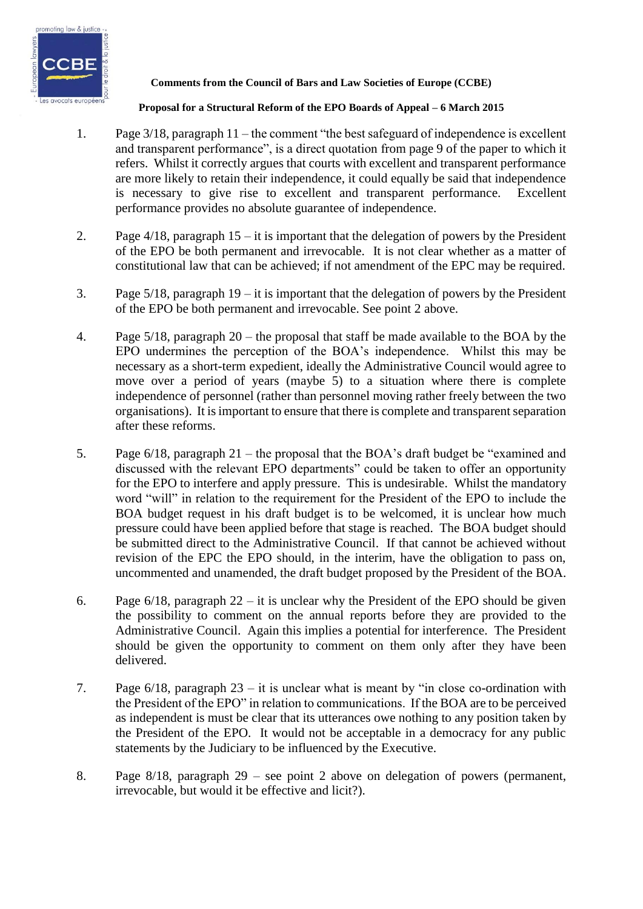

## **Comments from the Council of Bars and Law Societies of Europe (CCBE)**

## **Proposal for a Structural Reform of the EPO Boards of Appeal – 6 March 2015**

- 1. Page 3/18, paragraph 11 the comment "the best safeguard of independence is excellent and transparent performance", is a direct quotation from page 9 of the paper to which it refers. Whilst it correctly argues that courts with excellent and transparent performance are more likely to retain their independence, it could equally be said that independence is necessary to give rise to excellent and transparent performance. Excellent performance provides no absolute guarantee of independence.
- 2. Page  $4/18$ , paragraph  $15 it$  is important that the delegation of powers by the President of the EPO be both permanent and irrevocable. It is not clear whether as a matter of constitutional law that can be achieved; if not amendment of the EPC may be required.
- 3. Page 5/18, paragraph 19 it is important that the delegation of powers by the President of the EPO be both permanent and irrevocable. See point 2 above.
- 4. Page 5/18, paragraph 20 the proposal that staff be made available to the BOA by the EPO undermines the perception of the BOA's independence. Whilst this may be necessary as a short-term expedient, ideally the Administrative Council would agree to move over a period of years (maybe 5) to a situation where there is complete independence of personnel (rather than personnel moving rather freely between the two organisations). It is important to ensure that there is complete and transparent separation after these reforms.
- 5. Page 6/18, paragraph 21 the proposal that the BOA's draft budget be "examined and discussed with the relevant EPO departments" could be taken to offer an opportunity for the EPO to interfere and apply pressure. This is undesirable. Whilst the mandatory word "will" in relation to the requirement for the President of the EPO to include the BOA budget request in his draft budget is to be welcomed, it is unclear how much pressure could have been applied before that stage is reached. The BOA budget should be submitted direct to the Administrative Council. If that cannot be achieved without revision of the EPC the EPO should, in the interim, have the obligation to pass on, uncommented and unamended, the draft budget proposed by the President of the BOA.
- 6. Page  $6/18$ , paragraph  $22 it$  is unclear why the President of the EPO should be given the possibility to comment on the annual reports before they are provided to the Administrative Council. Again this implies a potential for interference. The President should be given the opportunity to comment on them only after they have been delivered.
- 7. Page 6/18, paragraph 23 it is unclear what is meant by "in close co-ordination with the President of the EPO" in relation to communications. If the BOA are to be perceived as independent is must be clear that its utterances owe nothing to any position taken by the President of the EPO. It would not be acceptable in a democracy for any public statements by the Judiciary to be influenced by the Executive.
- 8. Page 8/18, paragraph 29 see point 2 above on delegation of powers (permanent, irrevocable, but would it be effective and licit?).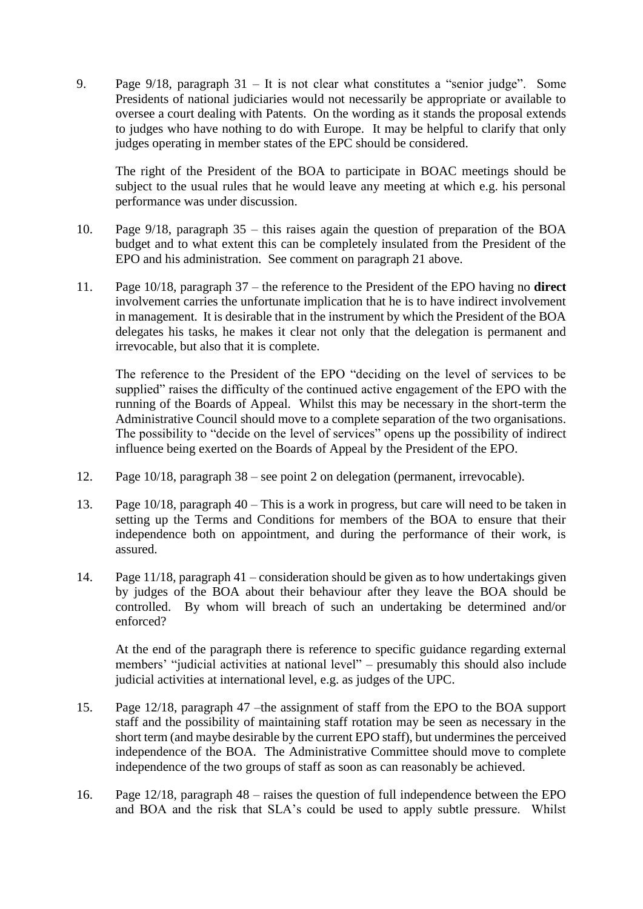9. Page 9/18, paragraph 31 – It is not clear what constitutes a "senior judge". Some Presidents of national judiciaries would not necessarily be appropriate or available to oversee a court dealing with Patents. On the wording as it stands the proposal extends to judges who have nothing to do with Europe. It may be helpful to clarify that only judges operating in member states of the EPC should be considered.

The right of the President of the BOA to participate in BOAC meetings should be subject to the usual rules that he would leave any meeting at which e.g. his personal performance was under discussion.

- 10. Page 9/18, paragraph 35 this raises again the question of preparation of the BOA budget and to what extent this can be completely insulated from the President of the EPO and his administration. See comment on paragraph 21 above.
- 11. Page 10/18, paragraph 37 the reference to the President of the EPO having no **direct** involvement carries the unfortunate implication that he is to have indirect involvement in management. It is desirable that in the instrument by which the President of the BOA delegates his tasks, he makes it clear not only that the delegation is permanent and irrevocable, but also that it is complete.

The reference to the President of the EPO "deciding on the level of services to be supplied" raises the difficulty of the continued active engagement of the EPO with the running of the Boards of Appeal. Whilst this may be necessary in the short-term the Administrative Council should move to a complete separation of the two organisations. The possibility to "decide on the level of services" opens up the possibility of indirect influence being exerted on the Boards of Appeal by the President of the EPO.

- 12. Page 10/18, paragraph 38 see point 2 on delegation (permanent, irrevocable).
- 13. Page 10/18, paragraph 40 This is a work in progress, but care will need to be taken in setting up the Terms and Conditions for members of the BOA to ensure that their independence both on appointment, and during the performance of their work, is assured.
- 14. Page 11/18, paragraph 41 consideration should be given as to how undertakings given by judges of the BOA about their behaviour after they leave the BOA should be controlled. By whom will breach of such an undertaking be determined and/or enforced?

At the end of the paragraph there is reference to specific guidance regarding external members' "judicial activities at national level" – presumably this should also include judicial activities at international level, e.g. as judges of the UPC.

- 15. Page 12/18, paragraph 47 –the assignment of staff from the EPO to the BOA support staff and the possibility of maintaining staff rotation may be seen as necessary in the short term (and maybe desirable by the current EPO staff), but undermines the perceived independence of the BOA. The Administrative Committee should move to complete independence of the two groups of staff as soon as can reasonably be achieved.
- 16. Page 12/18, paragraph 48 raises the question of full independence between the EPO and BOA and the risk that SLA's could be used to apply subtle pressure. Whilst